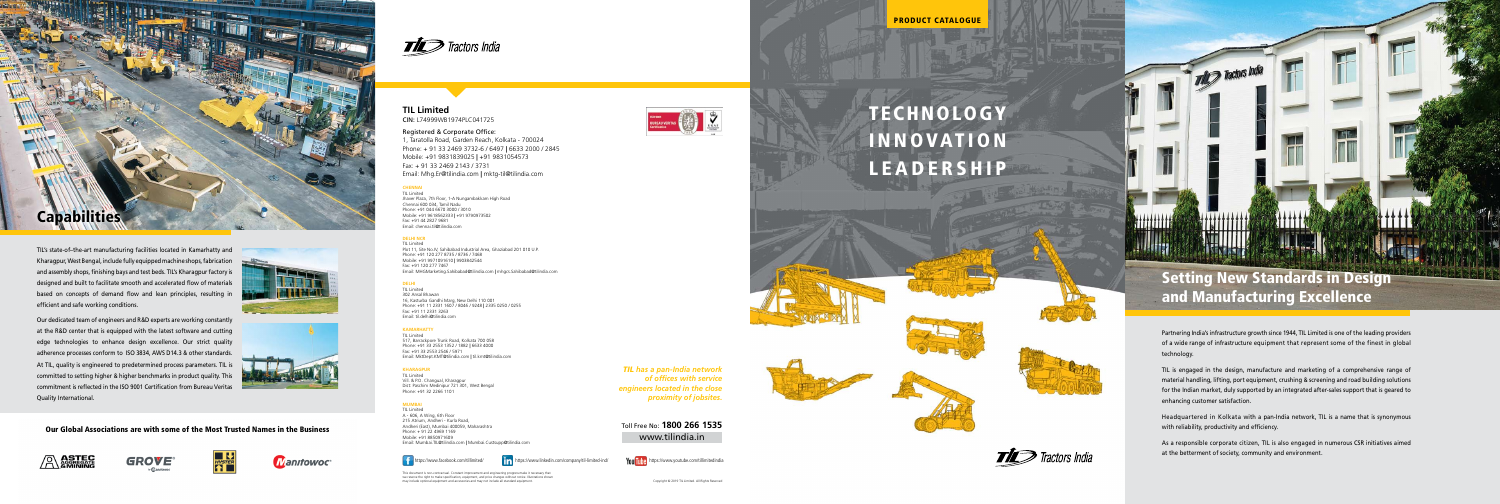Partnering India's infrastructure growth since 1944, TIL Limited is one of the leading providers of a wide range of infrastructure equipment that represent some of the finest in global technology.

TIL is engaged in the design, manufacture and marketing of a comprehensive range of material handling, lifting, port equipment, crushing & screening and road building solutions for the Indian market, duly supported by an integrated after-sales support that is geared to enhancing customer satisfaction.

Headquartered in Kolkata with a pan-India network, TIL is a name that is synonymous with reliability, productivity and efficiency.

As a responsible corporate citizen, TIL is also engaged in numerous CSR initiatives aimed at the betterment of society, community and environment.



TIL's state-of–the-art manufacturing facilities located in Kamarhatty and Kharagpur, West Bengal, include fully equipped machine shops, fabrication and assembly shops, finishing bays and test beds. TIL's Kharagpur factory is designed and built to facilitate smooth and accelerated flow of materials based on concepts of demand flow and lean principles, resulting in efficient and safe working conditions.

Our dedicated team of engineers and R&D experts are working constantly at the R&D center that is equipped with the latest software and cutting edge technologies to enhance design excellence. Our strict quality adherence processes conform to ISO 3834, AWS D14.3 & other standards. At TIL, quality is engineered to predetermined process parameters. TIL is committed to setting higher & higher benchmarks in product quality. This commitment is reflected in the ISO 9001 Certification from Bureau Veritas Quality International.





Our Global Associations are with some of the Most Trusted Names in the Business







**Manifowoc** 



TIL Limited Vill. & P.O. Changual, Kharagpur Dist: Paschim Medinipur 721 301, West Bengal Phone: +91 32 2266 1101

*TIL has a pan-India network of offices with service engineers located in the close proximity of jobsites.*

Toll Free No: **1800 266 1535** www.tilindia.in



 $\vec{H}$  Tractors India

# Setting New Standards in Design and Manufacturing Excellence

The Tractors Inc

PRODUCT CATALOGUE



# TECHNOLOGY **INNOVATION** LEADERSHIP

# **TIL Limited** CIN: L74999WB1974PLC041725

### Registered & Corporate Office:

1, Taratolla Road, Garden Reach, Kolkata - 700024 Phone: + 91 33 2469 3732-6 / 6497 **|** 6633 2000 / 2845 Mobile: +91 9831839025 **|** +91 9831054573 Fax: + 91 33 2469 2143 / 3731 Email: Mhg.Er@tilindia.com **|** mktg-til@tilindia.com

### **CHENNAI** TIL Limited

Jhaver Plaza, 7th Floor, 1-A Nungambakkam High Road Chennai 600 034, Tamil Nadu Phone: +91 044 6670 3000 / 3010 Mobile: +91 9618562333 **|** +91 9790973502 Fax: +91 44 2827 9681 Email: chennai.til@tilindia.com

### **DELHI NCR**

TIL Limited Plot 11, Site No.IV, Sahibabad Industrial Area, Ghaziabad 201 010 U.P. Phone: +91 120 277 8735 / 8736 / 7468 Mobile: +91 9971091610 **|** 9903842544 Fax: +91 120 277 7467 Email: MHGMarketing.Sahibabad@tilindia.com **|** mhgcs.Sahibabad@tilindia.com

### **DELHI**

TIL Limited 302 Ansal Bhawan 16, Kasturba Gandhi Marg, New Delhi 110 001 Phone: +91 11 2331 1607 / 8046 / 9248 **|** 2335 0250 / 0255 Fax: +91 11 2331 3263 Email: til.delhi@tilindia.com

### **KAMARHATTY**

TIL Limited 517, Barrackpore Trunk Road, Kolkata 700 058 Phone: +91 33 2553 1352 / 1882 **|** 6633 4000 Fax: +91 33 2553 2546 / 5971 Email: MktDept.KMT@tilindia.com **|** til.kmt@tilindia.com

### **KHARAGPUR**

### **MUMBAI**

TIL Limited A - 606, A Wing, 6th Floor 215 Atrium, Andheri - Kurla Road, Andheri (East), Mumbai 400059, Maharashtra Phone: + 91 22 4969 1169 Mobile: +91 8850971609 Email: Mumbai.TIL@tilindia.com **|** Mumbai.Custsupp@tilindia.com

https://www.facebook.com/tillimited/ **in** https://www.linkedin.com/company/til-limited-ind/ **You Tube** https://www.youtube.com/tillimitedindia

This document is non-contractual. Constant improvement and engineering progress make it necessary that we reserve the right to make specification, equipment, and price changes without notice. Illustrations shown ay include optional equipment and accessories and may not include all standard equipment